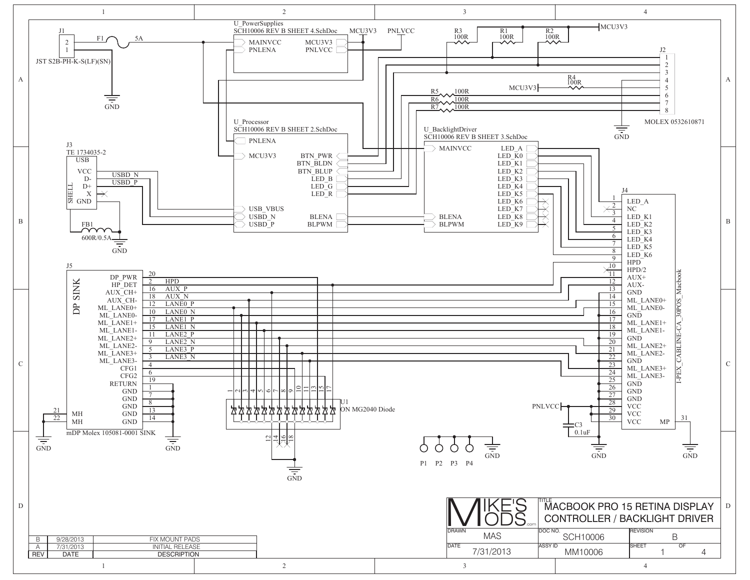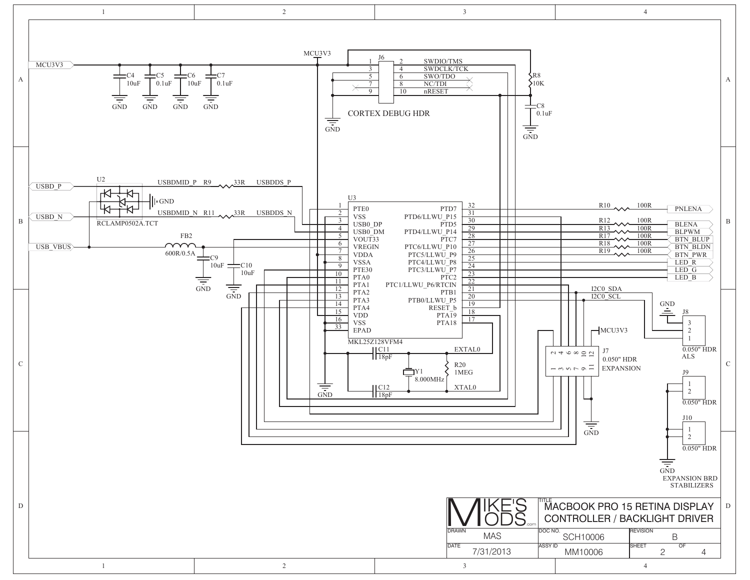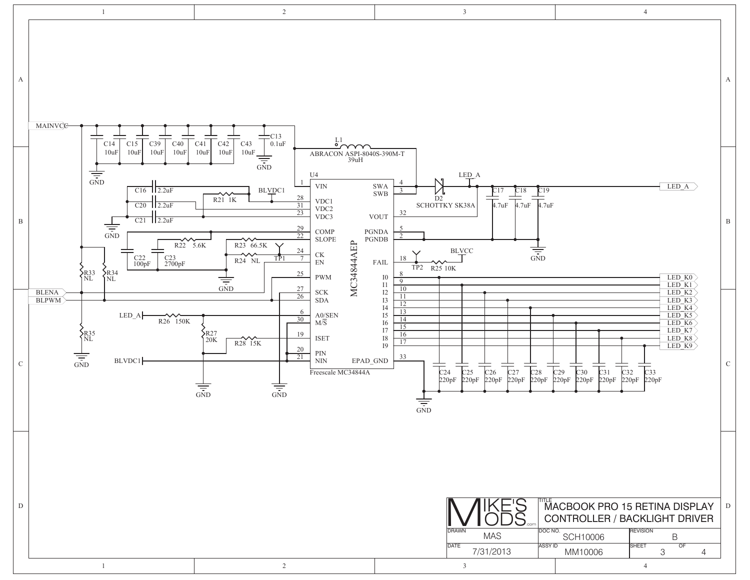